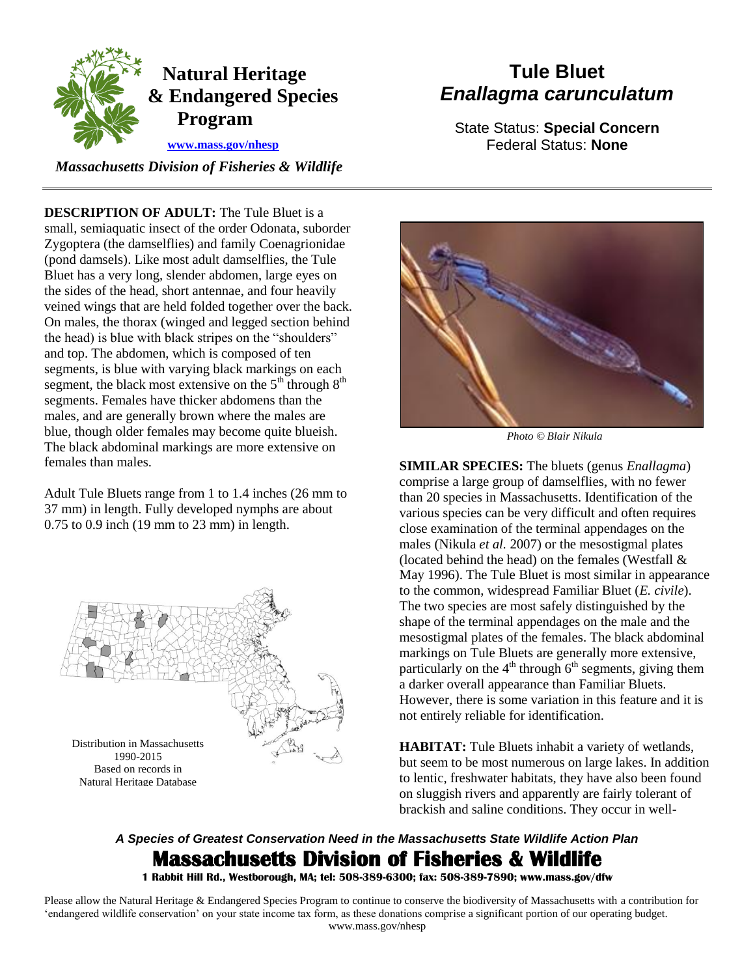

# **Tule Bluet** *Enallagma carunculatum*

State Status: **Special Concern** Federal Status: **None**

 *Massachusetts Division of Fisheries & Wildlife* 

**DESCRIPTION OF ADULT:** The Tule Bluet is a small, semiaquatic insect of the order Odonata, suborder Zygoptera (the damselflies) and family Coenagrionidae (pond damsels). Like most adult damselflies, the Tule Bluet has a very long, slender abdomen, large eyes on the sides of the head, short antennae, and four heavily veined wings that are held folded together over the back. On males, the thorax (winged and legged section behind the head) is blue with black stripes on the "shoulders" and top. The abdomen, which is composed of ten segments, is blue with varying black markings on each segment, the black most extensive on the  $5<sup>th</sup>$  through  $8<sup>th</sup>$ segments. Females have thicker abdomens than the males, and are generally brown where the males are blue, though older females may become quite blueish. The black abdominal markings are more extensive on females than males.

Adult Tule Bluets range from 1 to 1.4 inches (26 mm to 37 mm) in length. Fully developed nymphs are about 0.75 to 0.9 inch (19 mm to 23 mm) in length.





*Photo © Blair Nikula* 

**SIMILAR SPECIES:** The bluets (genus *Enallagma*) comprise a large group of damselflies, with no fewer than 20 species in Massachusetts. Identification of the various species can be very difficult and often requires close examination of the terminal appendages on the males (Nikula *et al.* 2007) or the mesostigmal plates (located behind the head) on the females (Westfall  $\&$ May 1996). The Tule Bluet is most similar in appearance to the common, widespread Familiar Bluet (*E. civile*). The two species are most safely distinguished by the shape of the terminal appendages on the male and the mesostigmal plates of the females. The black abdominal markings on Tule Bluets are generally more extensive, particularly on the  $4<sup>th</sup>$  through  $6<sup>th</sup>$  segments, giving them a darker overall appearance than Familiar Bluets. However, there is some variation in this feature and it is not entirely reliable for identification.

**HABITAT:** Tule Bluets inhabit a variety of wetlands, but seem to be most numerous on large lakes. In addition to lentic, freshwater habitats, they have also been found on sluggish rivers and apparently are fairly tolerant of brackish and saline conditions. They occur in well-

# *A Species of Greatest Conservation Need in the Massachusetts State Wildlife Action Plan*  **Massachusetts Division of Fisheries & Wildlife**

**1 Rabbit Hill Rd., Westborough, MA; tel: 508-389-6300; fax: 508-389-7890; www.mass.gov/dfw** 

Please allow the Natural Heritage & Endangered Species Program to continue to conserve the biodiversity of Massachusetts with a contribution for 'endangered wildlife conservation' on your state income tax form, as these donations comprise a significant portion of our operating budget. www.mass.gov/nhesp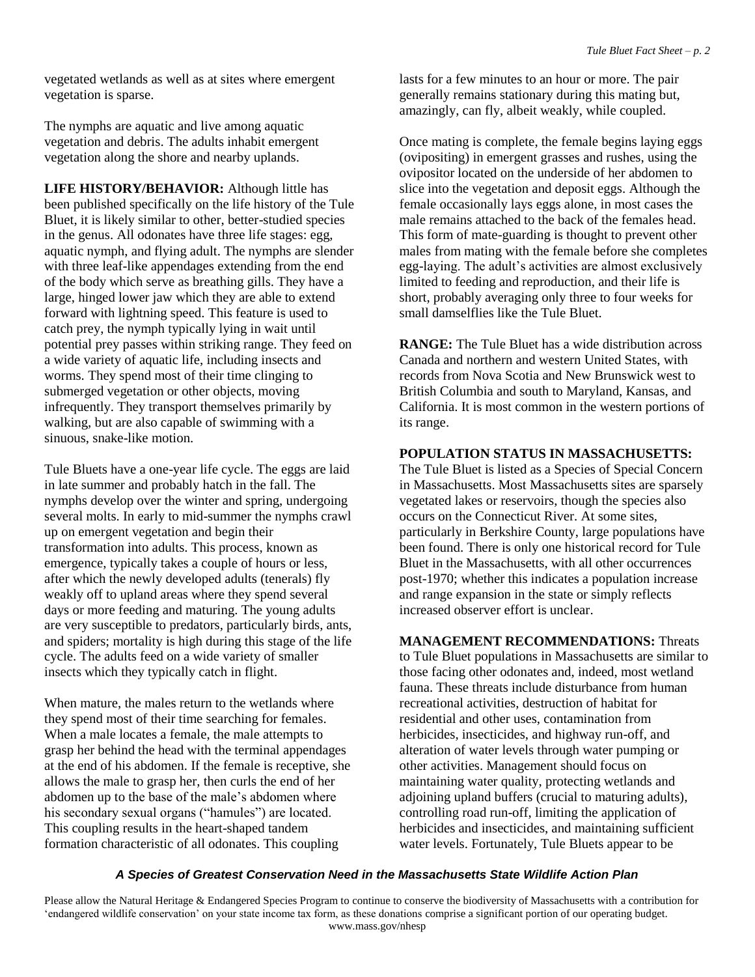vegetated wetlands as well as at sites where emergent vegetation is sparse.

The nymphs are aquatic and live among aquatic vegetation and debris. The adults inhabit emergent vegetation along the shore and nearby uplands.

**LIFE HISTORY/BEHAVIOR:** Although little has been published specifically on the life history of the Tule Bluet, it is likely similar to other, better-studied species in the genus. All odonates have three life stages: egg, aquatic nymph, and flying adult. The nymphs are slender with three leaf-like appendages extending from the end of the body which serve as breathing gills. They have a large, hinged lower jaw which they are able to extend forward with lightning speed. This feature is used to catch prey, the nymph typically lying in wait until potential prey passes within striking range. They feed on a wide variety of aquatic life, including insects and worms. They spend most of their time clinging to submerged vegetation or other objects, moving infrequently. They transport themselves primarily by walking, but are also capable of swimming with a sinuous, snake-like motion.

Tule Bluets have a one-year life cycle. The eggs are laid in late summer and probably hatch in the fall. The nymphs develop over the winter and spring, undergoing several molts. In early to mid-summer the nymphs crawl up on emergent vegetation and begin their transformation into adults. This process, known as emergence, typically takes a couple of hours or less, after which the newly developed adults (tenerals) fly weakly off to upland areas where they spend several days or more feeding and maturing. The young adults are very susceptible to predators, particularly birds, ants, and spiders; mortality is high during this stage of the life cycle. The adults feed on a wide variety of smaller insects which they typically catch in flight.

When mature, the males return to the wetlands where they spend most of their time searching for females. When a male locates a female, the male attempts to grasp her behind the head with the terminal appendages at the end of his abdomen. If the female is receptive, she allows the male to grasp her, then curls the end of her abdomen up to the base of the male's abdomen where his secondary sexual organs ("hamules") are located. This coupling results in the heart-shaped tandem formation characteristic of all odonates. This coupling

lasts for a few minutes to an hour or more. The pair generally remains stationary during this mating but, amazingly, can fly, albeit weakly, while coupled.

Once mating is complete, the female begins laying eggs (ovipositing) in emergent grasses and rushes, using the ovipositor located on the underside of her abdomen to slice into the vegetation and deposit eggs. Although the female occasionally lays eggs alone, in most cases the male remains attached to the back of the females head. This form of mate-guarding is thought to prevent other males from mating with the female before she completes egg-laying. The adult's activities are almost exclusively limited to feeding and reproduction, and their life is short, probably averaging only three to four weeks for small damselflies like the Tule Bluet.

**RANGE:** The Tule Bluet has a wide distribution across Canada and northern and western United States, with records from Nova Scotia and New Brunswick west to British Columbia and south to Maryland, Kansas, and California. It is most common in the western portions of its range.

#### **POPULATION STATUS IN MASSACHUSETTS:**

The Tule Bluet is listed as a Species of Special Concern in Massachusetts. Most Massachusetts sites are sparsely vegetated lakes or reservoirs, though the species also occurs on the Connecticut River. At some sites, particularly in Berkshire County, large populations have been found. There is only one historical record for Tule Bluet in the Massachusetts, with all other occurrences post-1970; whether this indicates a population increase and range expansion in the state or simply reflects increased observer effort is unclear.

# **MANAGEMENT RECOMMENDATIONS:** Threats

to Tule Bluet populations in Massachusetts are similar to those facing other odonates and, indeed, most wetland fauna. These threats include disturbance from human recreational activities, destruction of habitat for residential and other uses, contamination from herbicides, insecticides, and highway run-off, and alteration of water levels through water pumping or other activities. Management should focus on maintaining water quality, protecting wetlands and adjoining upland buffers (crucial to maturing adults), controlling road run-off, limiting the application of herbicides and insecticides, and maintaining sufficient water levels. Fortunately, Tule Bluets appear to be

#### *A Species of Greatest Conservation Need in the Massachusetts State Wildlife Action Plan*

Please allow the Natural Heritage & Endangered Species Program to continue to conserve the biodiversity of Massachusetts with a contribution for 'endangered wildlife conservation' on your state income tax form, as these donations comprise a significant portion of our operating budget. www.mass.gov/nhesp